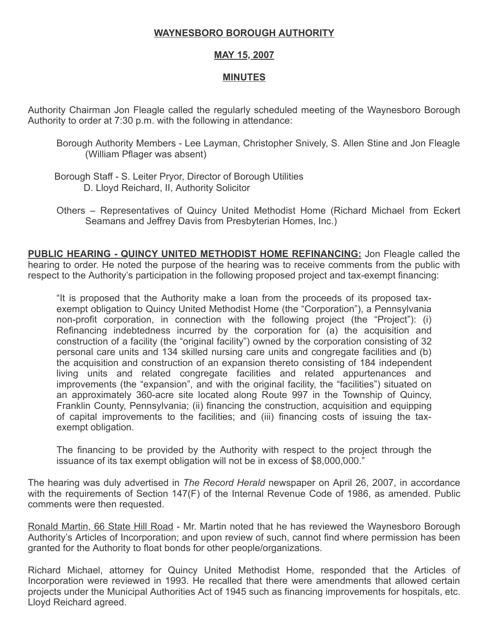## WAYNESBORO BOROUGH AUTHORITY

## MAY 15, 2007

## MINUTES

Authority Chairman Jon Fleagle called the regularly scheduled meeting of the Waynesboro Borough Authority to order at 7:30 p.m. with the following in attendance:

- Borough Authority Members Lee Layman, Christopher Snively, S. Allen Stine and Jon Fleagle (William Pflager was absent)
- Borough Staff S. Leiter Pryor, Director of Borough Utilities D. Lloyd Reichard, II, Authority Solicitor
- Others Representatives of Quincy United Methodist Home (Richard Michael from Eckert Seamans and Jeffrey Davis from Presbyterian Homes, Inc.)

PUBLIC HEARING - QUINCY UNITED METHODIST HOME REFINANCING: Jon Fleagle called the hearing to order. He noted the purpose of the hearing was to receive comments from the public with respect to the Authority's participation in the following proposed project and tax-exempt financing:

"It is proposed that the Authority make a loan from the proceeds of its proposed taxexempt obligation to Quincy United Methodist Home (the "Corporation"), a Pennsylvania non-profit corporation, in connection with the following project (the "Project"): (i) Refinancing indebtedness incurred by the corporation for (a) the acquisition and construction of a facility (the "original facility") owned by the corporation consisting of 32 personal care units and 134 skilled nursing care units and congregate facilities and (b) the acquisition and construction of an expansion thereto consisting of 184 independent living units and related congregate facilities and related appurtenances and improvements (the "expansion", and with the original facility, the "facilities") situated on an approximately 360-acre site located along Route 997 in the Township of Quincy, Franklin County, Pennsylvania; (ii) financing the construction, acquisition and equipping of capital improvements to the facilities; and (iii) financing costs of issuing the taxexempt obligation.

The financing to be provided by the Authority with respect to the project through the issuance of its tax exempt obligation will not be in excess of \$8,000,000."

The hearing was duly advertised in The Record Herald newspaper on April 26, 2007, in accordance with the requirements of Section 147(F) of the Internal Revenue Code of 1986, as amended. Public comments were then requested.

Ronald Martin, 66 State Hill Road - Mr. Martin noted that he has reviewed the Waynesboro Borough Authority's Articles of Incorporation; and upon review of such, cannot find where permission has been granted for the Authority to float bonds for other people/organizations.

Richard Michael, attorney for Quincy United Methodist Home, responded that the Articles of Incorporation were reviewed in 1993. He recalled that there were amendments that allowed certain projects under the Municipal Authorities Act of 1945 such as financing improvements for hospitals, etc. Lloyd Reichard agreed.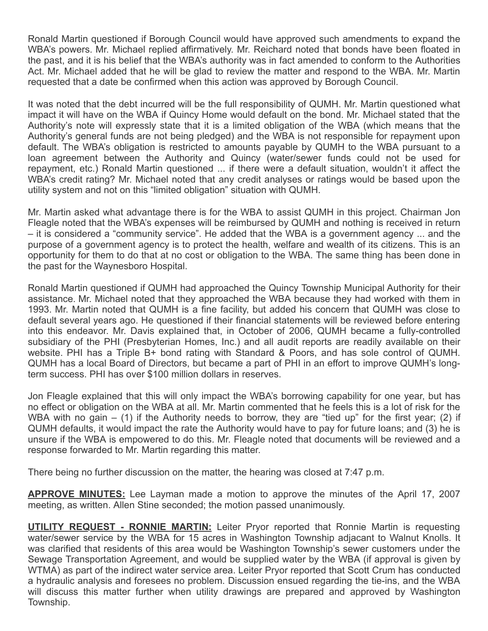Ronald Martin questioned if Borough Council would have approved such amendments to expand the WBA's powers. Mr. Michael replied affirmatively. Mr. Reichard noted that bonds have been floated in the past, and it is his belief that the WBA's authority was in fact amended to conform to the Authorities Act. Mr. Michael added that he will be glad to review the matter and respond to the WBA. Mr. Martin requested that a date be confirmed when this action was approved by Borough Council.

It was noted that the debt incurred will be the full responsibility of QUMH. Mr. Martin questioned what impact it will have on the WBA if Quincy Home would default on the bond. Mr. Michael stated that the Authority's note will expressly state that it is a limited obligation of the WBA (which means that the Authority's general funds are not being pledged) and the WBA is not responsible for repayment upon default. The WBA's obligation is restricted to amounts payable by QUMH to the WBA pursuant to a loan agreement between the Authority and Quincy (water/sewer funds could not be used for repayment, etc.) Ronald Martin questioned ... if there were a default situation, wouldn't it affect the WBA's credit rating? Mr. Michael noted that any credit analyses or ratings would be based upon the utility system and not on this "limited obligation" situation with QUMH.

Mr. Martin asked what advantage there is for the WBA to assist QUMH in this project. Chairman Jon Fleagle noted that the WBA's expenses will be reimbursed by QUMH and nothing is received in return – it is considered a "community service". He added that the WBA is a government agency ... and the purpose of a government agency is to protect the health, welfare and wealth of its citizens. This is an opportunity for them to do that at no cost or obligation to the WBA. The same thing has been done in the past for the Waynesboro Hospital.

Ronald Martin questioned if QUMH had approached the Quincy Township Municipal Authority for their assistance. Mr. Michael noted that they approached the WBA because they had worked with them in 1993. Mr. Martin noted that QUMH is a fine facility, but added his concern that QUMH was close to default several years ago. He questioned if their financial statements will be reviewed before entering into this endeavor. Mr. Davis explained that, in October of 2006, QUMH became a fully-controlled subsidiary of the PHI (Presbyterian Homes, Inc.) and all audit reports are readily available on their website. PHI has a Triple B+ bond rating with Standard & Poors, and has sole control of QUMH. QUMH has a local Board of Directors, but became a part of PHI in an effort to improve QUMH's longterm success. PHI has over \$100 million dollars in reserves.

Jon Fleagle explained that this will only impact the WBA's borrowing capability for one year, but has no effect or obligation on the WBA at all. Mr. Martin commented that he feels this is a lot of risk for the WBA with no gain – (1) if the Authority needs to borrow, they are "tied up" for the first year; (2) if QUMH defaults, it would impact the rate the Authority would have to pay for future loans; and (3) he is unsure if the WBA is empowered to do this. Mr. Fleagle noted that documents will be reviewed and a response forwarded to Mr. Martin regarding this matter.

There being no further discussion on the matter, the hearing was closed at 7:47 p.m.

**APPROVE MINUTES:** Lee Layman made a motion to approve the minutes of the April 17, 2007 meeting, as written. Allen Stine seconded; the motion passed unanimously.

**UTILITY REQUEST - RONNIE MARTIN:** Leiter Pryor reported that Ronnie Martin is requesting water/sewer service by the WBA for 15 acres in Washington Township adjacant to Walnut Knolls. It was clarified that residents of this area would be Washington Township's sewer customers under the Sewage Transportation Agreement, and would be supplied water by the WBA (if approval is given by WTMA) as part of the indirect water service area. Leiter Pryor reported that Scott Crum has conducted a hydraulic analysis and foresees no problem. Discussion ensued regarding the tie-ins, and the WBA will discuss this matter further when utility drawings are prepared and approved by Washington Township.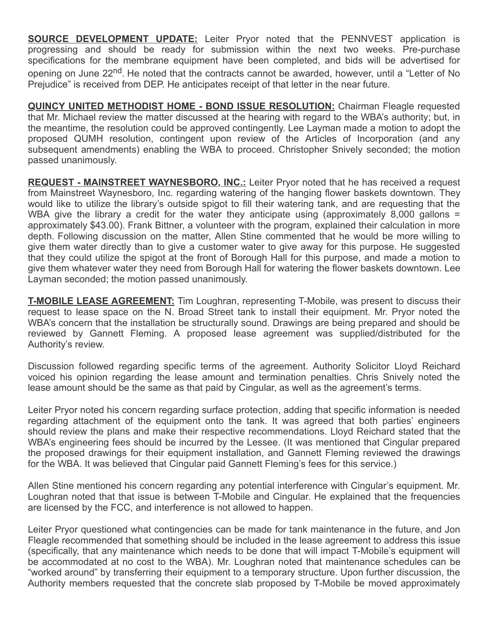**SOURCE DEVELOPMENT UPDATE:** Leiter Pryor noted that the PENNVEST application is progressing and should be ready for submission within the next two weeks. Pre-purchase specifications for the membrane equipment have been completed, and bids will be advertised for opening on June 22<sup>nd</sup>. He noted that the contracts cannot be awarded, however, until a "Letter of No Prejudice" is received from DEP. He anticipates receipt of that letter in the near future.

QUINCY UNITED METHODIST HOME - BOND ISSUE RESOLUTION: Chairman Fleagle requested that Mr. Michael review the matter discussed at the hearing with regard to the WBA's authority; but, in the meantime, the resolution could be approved contingently. Lee Layman made a motion to adopt the proposed QUMH resolution, contingent upon review of the Articles of Incorporation (and any subsequent amendments) enabling the WBA to proceed. Christopher Snively seconded; the motion passed unanimously.

REQUEST - MAINSTREET WAYNESBORO, INC.: Leiter Pryor noted that he has received a request from Mainstreet Waynesboro, Inc. regarding watering of the hanging flower baskets downtown. They would like to utilize the library's outside spigot to fill their watering tank, and are requesting that the WBA give the library a credit for the water they anticipate using (approximately 8,000 gallons = approximately \$43.00). Frank Bittner, a volunteer with the program, explained their calculation in more depth. Following discussion on the matter, Allen Stine commented that he would be more willing to give them water directly than to give a customer water to give away for this purpose. He suggested that they could utilize the spigot at the front of Borough Hall for this purpose, and made a motion to give them whatever water they need from Borough Hall for watering the flower baskets downtown. Lee Layman seconded; the motion passed unanimously.

**T-MOBILE LEASE AGREEMENT:** Tim Loughran, representing T-Mobile, was present to discuss their request to lease space on the N. Broad Street tank to install their equipment. Mr. Pryor noted the WBA's concern that the installation be structurally sound. Drawings are being prepared and should be reviewed by Gannett Fleming. A proposed lease agreement was supplied/distributed for the Authority's review.

Discussion followed regarding specific terms of the agreement. Authority Solicitor Lloyd Reichard voiced his opinion regarding the lease amount and termination penalties. Chris Snively noted the lease amount should be the same as that paid by Cingular, as well as the agreement's terms.

Leiter Pryor noted his concern regarding surface protection, adding that specific information is needed regarding attachment of the equipment onto the tank. It was agreed that both parties' engineers should review the plans and make their respective recommendations. Lloyd Reichard stated that the WBA's engineering fees should be incurred by the Lessee. (It was mentioned that Cingular prepared the proposed drawings for their equipment installation, and Gannett Fleming reviewed the drawings for the WBA. It was believed that Cingular paid Gannett Fleming's fees for this service.)

Allen Stine mentioned his concern regarding any potential interference with Cingular's equipment. Mr. Loughran noted that that issue is between T-Mobile and Cingular. He explained that the frequencies are licensed by the FCC, and interference is not allowed to happen.

Leiter Pryor questioned what contingencies can be made for tank maintenance in the future, and Jon Fleagle recommended that something should be included in the lease agreement to address this issue (specifically, that any maintenance which needs to be done that will impact T-Mobile's equipment will be accommodated at no cost to the WBA). Mr. Loughran noted that maintenance schedules can be "worked around" by transferring their equipment to a temporary structure. Upon further discussion, the Authority members requested that the concrete slab proposed by T-Mobile be moved approximately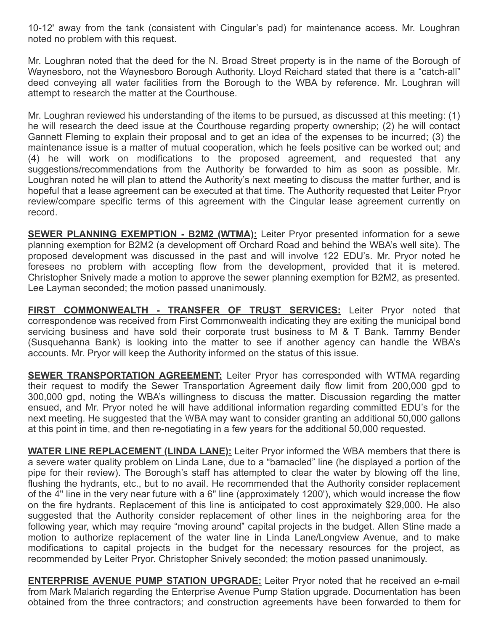10-12' away from the tank (consistent with Cingular's pad) for maintenance access. Mr. Loughran noted no problem with this request.

Mr. Loughran noted that the deed for the N. Broad Street property is in the name of the Borough of Waynesboro, not the Waynesboro Borough Authority. Lloyd Reichard stated that there is a "catch-all" deed conveying all water facilities from the Borough to the WBA by reference. Mr. Loughran will attempt to research the matter at the Courthouse.

Mr. Loughran reviewed his understanding of the items to be pursued, as discussed at this meeting: (1) he will research the deed issue at the Courthouse regarding property ownership; (2) he will contact Gannett Fleming to explain their proposal and to get an idea of the expenses to be incurred; (3) the maintenance issue is a matter of mutual cooperation, which he feels positive can be worked out; and (4) he will work on modifications to the proposed agreement, and requested that any suggestions/recommendations from the Authority be forwarded to him as soon as possible. Mr. Loughran noted he will plan to attend the Authority's next meeting to discuss the matter further, and is hopeful that a lease agreement can be executed at that time. The Authority requested that Leiter Pryor review/compare specific terms of this agreement with the Cingular lease agreement currently on record.

**SEWER PLANNING EXEMPTION - B2M2 (WTMA):** Leiter Pryor presented information for a sewe planning exemption for B2M2 (a development off Orchard Road and behind the WBA's well site). The proposed development was discussed in the past and will involve 122 EDU's. Mr. Pryor noted he foresees no problem with accepting flow from the development, provided that it is metered. Christopher Snively made a motion to approve the sewer planning exemption for B2M2, as presented. Lee Layman seconded; the motion passed unanimously.

FIRST COMMONWEALTH - TRANSFER OF TRUST SERVICES: Leiter Pryor noted that correspondence was received from First Commonwealth indicating they are exiting the municipal bond servicing business and have sold their corporate trust business to M & T Bank. Tammy Bender (Susquehanna Bank) is looking into the matter to see if another agency can handle the WBA's accounts. Mr. Pryor will keep the Authority informed on the status of this issue.

**SEWER TRANSPORTATION AGREEMENT:** Leiter Pryor has corresponded with WTMA regarding their request to modify the Sewer Transportation Agreement daily flow limit from 200,000 gpd to 300,000 gpd, noting the WBA's willingness to discuss the matter. Discussion regarding the matter ensued, and Mr. Pryor noted he will have additional information regarding committed EDU's for the next meeting. He suggested that the WBA may want to consider granting an additional 50,000 gallons at this point in time, and then re-negotiating in a few years for the additional 50,000 requested.

WATER LINE REPLACEMENT (LINDA LANE): Leiter Pryor informed the WBA members that there is a severe water quality problem on Linda Lane, due to a "barnacled" line (he displayed a portion of the pipe for their review). The Borough's staff has attempted to clear the water by blowing off the line, flushing the hydrants, etc., but to no avail. He recommended that the Authority consider replacement of the 4" line in the very near future with a 6" line (approximately 1200'), which would increase the flow on the fire hydrants. Replacement of this line is anticipated to cost approximately \$29,000. He also suggested that the Authority consider replacement of other lines in the neighboring area for the following year, which may require "moving around" capital projects in the budget. Allen Stine made a motion to authorize replacement of the water line in Linda Lane/Longview Avenue, and to make modifications to capital projects in the budget for the necessary resources for the project, as recommended by Leiter Pryor. Christopher Snively seconded; the motion passed unanimously.

**ENTERPRISE AVENUE PUMP STATION UPGRADE:** Leiter Pryor noted that he received an e-mail from Mark Malarich regarding the Enterprise Avenue Pump Station upgrade. Documentation has been obtained from the three contractors; and construction agreements have been forwarded to them for